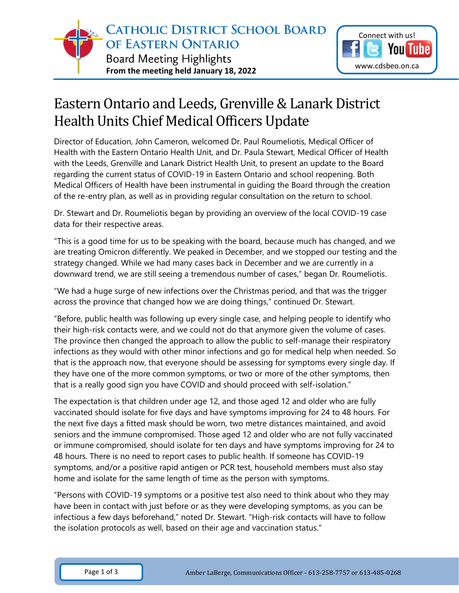

You

Tube

## Eastern Ontario and Leeds, Grenville & Lanark District Health Units Chief Medical Officers Update

Director of Education, John Cameron, welcomed Dr. Paul Roumeliotis, Medical Officer of Health with the Eastern Ontario Health Unit, and Dr. Paula Stewart, Medical Officer of Health with the Leeds, Grenville and Lanark District Health Unit, to present an update to the Board regarding the current status of COVID-19 in Eastern Ontario and school reopening. Both Medical Officers of Health have been instrumental in guiding the Board through the creation of the re-entry plan, as well as in providing regular consultation on the return to school.

Dr. Stewart and Dr. Roumeliotis began by providing an overview of the local COVID-19 case data for their respective areas.

"This is a good time for us to be speaking with the board, because much has changed, and we are treating Omicron differently. We peaked in December, and we stopped our testing and the strategy changed. While we had many cases back in December and we are currently in a downward trend, we are still seeing a tremendous number of cases," began Dr. Roumeliotis.

"We had a huge surge of new infections over the Christmas period, and that was the trigger across the province that changed how we are doing things," continued Dr. Stewart.

"Before, public health was following up every single case, and helping people to identify who their high-risk contacts were, and we could not do that anymore given the volume of cases. The province then changed the approach to allow the public to self-manage their respiratory infections as they would with other minor infections and go for medical help when needed. So that is the approach now, that everyone should be assessing for symptoms every single day. If they have one of the more common symptoms, or two or more of the other symptoms, then that is a really good sign you have COVID and should proceed with self-isolation."

The expectation is that children under age 12, and those aged 12 and older who are fully vaccinated should isolate for five days and have symptoms improving for 24 to 48 hours. For the next five days a fitted mask should be worn, two metre distances maintained, and avoid seniors and the immune compromised. Those aged 12 and older who are not fully vaccinated or immune compromised, should isolate for ten days and have symptoms improving for 24 to 48 hours. There is no need to report cases to public health. If someone has COVID-19 symptoms, and/or a positive rapid antigen or PCR test, household members must also stay home and isolate for the same length of time as the person with symptoms.

"Persons with COVID-19 symptoms or a positive test also need to think about who they may have been in contact with just before or as they were developing symptoms, as you can be infectious a few days beforehand," noted Dr. Stewart. "High-risk contacts will have to follow the isolation protocols as well, based on their age and vaccination status."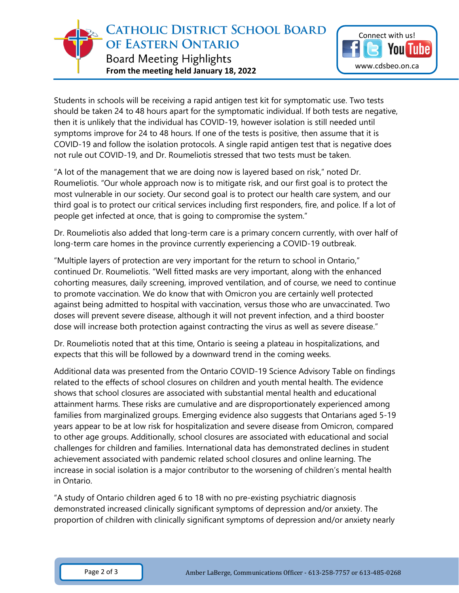

Students in schools will be receiving a rapid antigen test kit for symptomatic use. Two tests should be taken 24 to 48 hours apart for the symptomatic individual. If both tests are negative, then it is unlikely that the individual has COVID-19, however isolation is still needed until symptoms improve for 24 to 48 hours. If one of the tests is positive, then assume that it is COVID-19 and follow the isolation protocols. A single rapid antigen test that is negative does not rule out COVID-19, and Dr. Roumeliotis stressed that two tests must be taken.

"A lot of the management that we are doing now is layered based on risk," noted Dr. Roumeliotis. "Our whole approach now is to mitigate risk, and our first goal is to protect the most vulnerable in our society. Our second goal is to protect our health care system, and our third goal is to protect our critical services including first responders, fire, and police. If a lot of people get infected at once, that is going to compromise the system."

Dr. Roumeliotis also added that long-term care is a primary concern currently, with over half of long-term care homes in the province currently experiencing a COVID-19 outbreak.

"Multiple layers of protection are very important for the return to school in Ontario," continued Dr. Roumeliotis. "Well fitted masks are very important, along with the enhanced cohorting measures, daily screening, improved ventilation, and of course, we need to continue to promote vaccination. We do know that with Omicron you are certainly well protected against being admitted to hospital with vaccination, versus those who are unvaccinated. Two doses will prevent severe disease, although it will not prevent infection, and a third booster dose will increase both protection against contracting the virus as well as severe disease."

Dr. Roumeliotis noted that at this time, Ontario is seeing a plateau in hospitalizations, and expects that this will be followed by a downward trend in the coming weeks.

Additional data was presented from the Ontario COVID-19 Science Advisory Table on findings related to the effects of school closures on children and youth mental health. The evidence shows that school closures are associated with substantial mental health and educational attainment harms. These risks are cumulative and are disproportionately experienced among families from marginalized groups. Emerging evidence also suggests that Ontarians aged 5-19 years appear to be at low risk for hospitalization and severe disease from Omicron, compared to other age groups. Additionally, school closures are associated with educational and social challenges for children and families. International data has demonstrated declines in student achievement associated with pandemic related school closures and online learning. The increase in social isolation is a major contributor to the worsening of children's mental health in Ontario.

"A study of Ontario children aged 6 to 18 with no pre-existing psychiatric diagnosis demonstrated increased clinically significant symptoms of depression and/or anxiety. The proportion of children with clinically significant symptoms of depression and/or anxiety nearly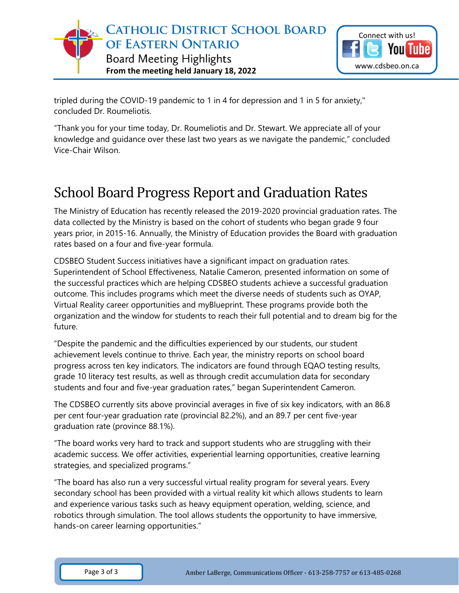

tripled during the COVID-19 pandemic to 1 in 4 for depression and 1 in 5 for anxiety," concluded Dr. Roumeliotis.

"Thank you for your time today, Dr. Roumeliotis and Dr. Stewart. We appreciate all of your knowledge and guidance over these last two years as we navigate the pandemic," concluded Vice-Chair Wilson.

## School Board Progress Report and Graduation Rates

The Ministry of Education has recently released the 2019-2020 provincial graduation rates. The data collected by the Ministry is based on the cohort of students who began grade 9 four years prior, in 2015-16. Annually, the Ministry of Education provides the Board with graduation rates based on a four and five-year formula.

CDSBEO Student Success initiatives have a significant impact on graduation rates. Superintendent of School Effectiveness, Natalie Cameron, presented information on some of the successful practices which are helping CDSBEO students achieve a successful graduation outcome. This includes programs which meet the diverse needs of students such as OYAP, Virtual Reality career opportunities and myBlueprint. These programs provide both the organization and the window for students to reach their full potential and to dream big for the future.

"Despite the pandemic and the difficulties experienced by our students, our student achievement levels continue to thrive. Each year, the ministry reports on school board progress across ten key indicators. The indicators are found through EQAO testing results, grade 10 literacy test results, as well as through credit accumulation data for secondary students and four and five-year graduation rates," began Superintendent Cameron.

The CDSBEO currently sits above provincial averages in five of six key indicators, with an 86.8 per cent four-year graduation rate (provincial 82.2%), and an 89.7 per cent five-year graduation rate (province 88.1%).

"The board works very hard to track and support students who are struggling with their academic success. We offer activities, experiential learning opportunities, creative learning strategies, and specialized programs."

"The board has also run a very successful virtual reality program for several years. Every secondary school has been provided with a virtual reality kit which allows students to learn and experience various tasks such as heavy equipment operation, welding, science, and robotics through simulation. The tool allows students the opportunity to have immersive, hands-on career learning opportunities."